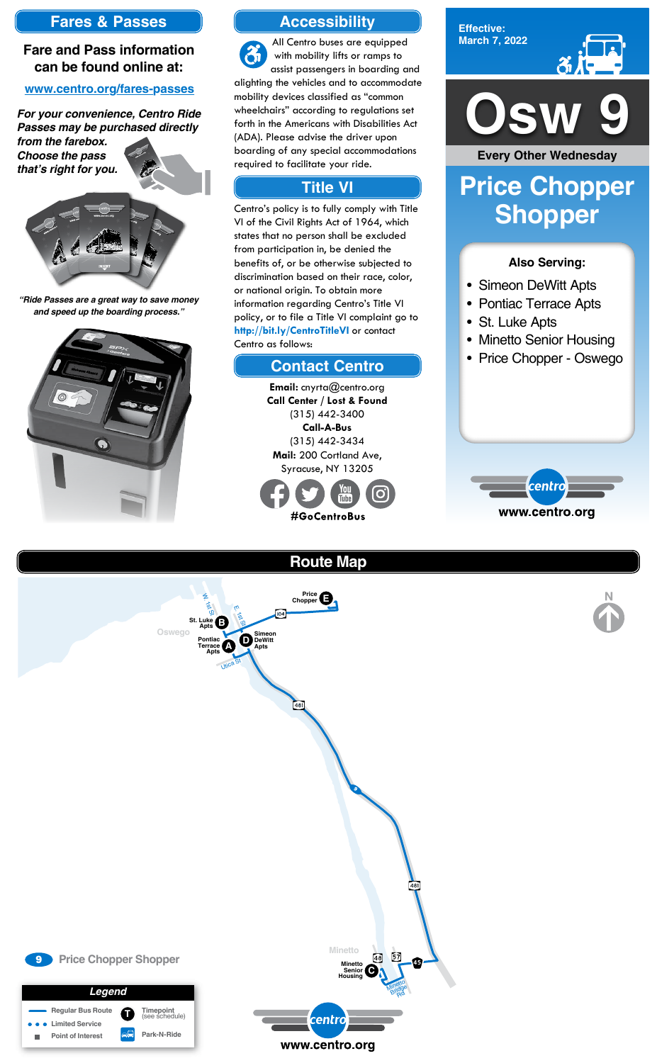

**Effective: March 7, 2022**

#### **Also Serving:**

- Simeon DeWitt Apts
- Pontiac Terrace Apts
- St. Luke Apts
- Minetto Senior Housing
- Price Chopper Oswego



# **Price Chopper Shopper**

### **Accessibility**

### **Contact Centro**

### **Title VI**

All Centro buses are equipped  $\mathcal{Z}_1$ with mobility lifts or ramps to assist passengers in boarding and alighting the vehicles and to accommodate mobility devices classified as "common wheelchairs" according to regulations set forth in the Americans with Disabilities Act (ADA). Please advise the driver upon boarding of any special accommodations required to facilitate your ride.

Centro's policy is to fully comply with Title VI of the Civil Rights Act of 1964, which states that no person shall be excluded from participation in, be denied the benefits of, or be otherwise subjected to discrimination based on their race, color, or national origin. To obtain more information regarding Centro's Title VI policy, or to file a Title VI complaint go to **http://bit.ly/CentroTitleVI** or contact Centro as follows:

> **Email:** cnyrta@centro.org **Call Center / Lost & Found** (315) 442-3400 **Call-A-Bus** (315) 442-3434 **Mail:** 200 Cortland Ave, Syracuse, NY 13205



### **Fares & Passes**

#### **Fare and Pass information can be found online at:**

#### **www.centro.org/fares-passes**

*"Ride Passes are a great way to save money and speed up the boarding process."*



*For your convenience, Centro Ride Passes may be purchased directly* 

*from the farebox. Choose the pass that's right for you.*





**Every Other Wednesday**

**Route Map**